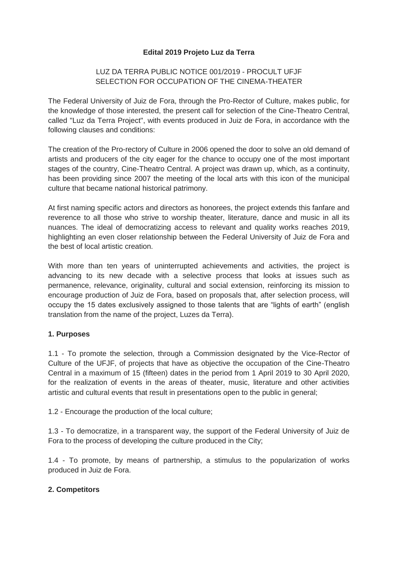#### **Edital 2019 Projeto Luz da Terra**

### LUZ DA TERRA PUBLIC NOTICE 001/2019 - PROCULT UFJF SELECTION FOR OCCUPATION OF THE CINEMA-THEATER

The Federal University of Juiz de Fora, through the Pro-Rector of Culture, makes public, for the knowledge of those interested, the present call for selection of the Cine-Theatro Central, called "Luz da Terra Project", with events produced in Juiz de Fora, in accordance with the following clauses and conditions:

The creation of the Pro-rectory of Culture in 2006 opened the door to solve an old demand of artists and producers of the city eager for the chance to occupy one of the most important stages of the country, Cine-Theatro Central. A project was drawn up, which, as a continuity, has been providing since 2007 the meeting of the local arts with this icon of the municipal culture that became national historical patrimony.

At first naming specific actors and directors as honorees, the project extends this fanfare and reverence to all those who strive to worship theater, literature, dance and music in all its nuances. The ideal of democratizing access to relevant and quality works reaches 2019, highlighting an even closer relationship between the Federal University of Juiz de Fora and the best of local artistic creation.

With more than ten years of uninterrupted achievements and activities, the project is advancing to its new decade with a selective process that looks at issues such as permanence, relevance, originality, cultural and social extension, reinforcing its mission to encourage production of Juiz de Fora, based on proposals that, after selection process, will occupy the 15 dates exclusively assigned to those talents that are "lights of earth" (english translation from the name of the project, Luzes da Terra).

#### **1. Purposes**

1.1 - To promote the selection, through a Commission designated by the Vice-Rector of Culture of the UFJF, of projects that have as objective the occupation of the Cine-Theatro Central in a maximum of 15 (fifteen) dates in the period from 1 April 2019 to 30 April 2020, for the realization of events in the areas of theater, music, literature and other activities artistic and cultural events that result in presentations open to the public in general;

1.2 - Encourage the production of the local culture;

1.3 - To democratize, in a transparent way, the support of the Federal University of Juiz de Fora to the process of developing the culture produced in the City;

1.4 - To promote, by means of partnership, a stimulus to the popularization of works produced in Juiz de Fora.

#### **2. Competitors**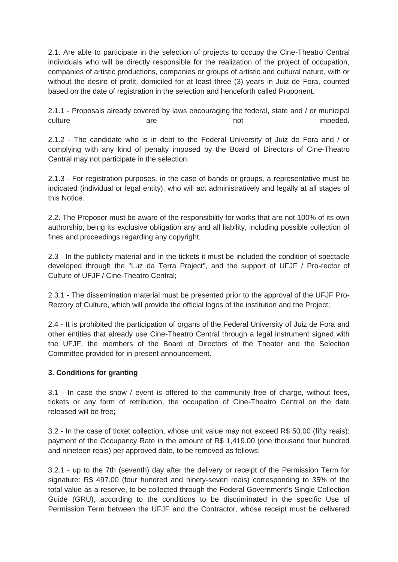2.1. Are able to participate in the selection of projects to occupy the Cine-Theatro Central individuals who will be directly responsible for the realization of the project of occupation, companies of artistic productions, companies or groups of artistic and cultural nature, with or without the desire of profit, domiciled for at least three (3) years in Juiz de Fora, counted based on the date of registration in the selection and henceforth called Proponent.

2.1.1 - Proposals already covered by laws encouraging the federal, state and / or municipal culture are are not not impeded.

2.1.2 - The candidate who is in debt to the Federal University of Juiz de Fora and / or complying with any kind of penalty imposed by the Board of Directors of Cine-Theatro Central may not participate in the selection.

2.1.3 - For registration purposes, in the case of bands or groups, a representative must be indicated (individual or legal entity), who will act administratively and legally at all stages of this Notice.

2.2. The Proposer must be aware of the responsibility for works that are not 100% of its own authorship, being its exclusive obligation any and all liability, including possible collection of fines and proceedings regarding any copyright.

2.3 - In the publicity material and in the tickets it must be included the condition of spectacle developed through the "Luz da Terra Project", and the support of UFJF / Pro-rector of Culture of UFJF / Cine-Theatro Central;

2.3.1 - The dissemination material must be presented prior to the approval of the UFJF Pro-Rectory of Culture, which will provide the official logos of the institution and the Project;

2.4 - It is prohibited the participation of organs of the Federal University of Juiz de Fora and other entities that already use Cine-Theatro Central through a legal instrument signed with the UFJF, the members of the Board of Directors of the Theater and the Selection Committee provided for in present announcement.

### **3. Conditions for granting**

3.1 - In case the show / event is offered to the community free of charge, without fees, tickets or any form of retribution, the occupation of Cine-Theatro Central on the date released will be free;

3.2 - In the case of ticket collection, whose unit value may not exceed R\$ 50.00 (fifty reais): payment of the Occupancy Rate in the amount of R\$ 1,419.00 (one thousand four hundred and nineteen reais) per approved date, to be removed as follows:

3.2.1 - up to the 7th (seventh) day after the delivery or receipt of the Permission Term for signature: R\$ 497.00 (four hundred and ninety-seven reais) corresponding to 35% of the total value as a reserve, to be collected through the Federal Government's Single Collection Guide (GRU), according to the conditions to be discriminated in the specific Use of Permission Term between the UFJF and the Contractor, whose receipt must be delivered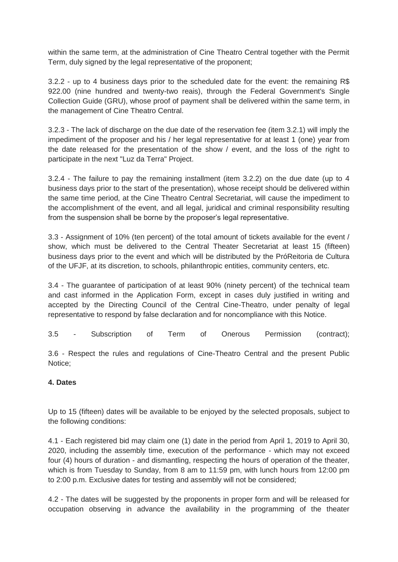within the same term, at the administration of Cine Theatro Central together with the Permit Term, duly signed by the legal representative of the proponent;

3.2.2 - up to 4 business days prior to the scheduled date for the event: the remaining R\$ 922.00 (nine hundred and twenty-two reais), through the Federal Government's Single Collection Guide (GRU), whose proof of payment shall be delivered within the same term, in the management of Cine Theatro Central.

3.2.3 - The lack of discharge on the due date of the reservation fee (item 3.2.1) will imply the impediment of the proposer and his / her legal representative for at least 1 (one) year from the date released for the presentation of the show / event, and the loss of the right to participate in the next "Luz da Terra" Project.

3.2.4 - The failure to pay the remaining installment (item 3.2.2) on the due date (up to 4 business days prior to the start of the presentation), whose receipt should be delivered within the same time period, at the Cine Theatro Central Secretariat, will cause the impediment to the accomplishment of the event, and all legal, juridical and criminal responsibility resulting from the suspension shall be borne by the proposer's legal representative.

3.3 - Assignment of 10% (ten percent) of the total amount of tickets available for the event / show, which must be delivered to the Central Theater Secretariat at least 15 (fifteen) business days prior to the event and which will be distributed by the PróReitoria de Cultura of the UFJF, at its discretion, to schools, philanthropic entities, community centers, etc.

3.4 - The guarantee of participation of at least 90% (ninety percent) of the technical team and cast informed in the Application Form, except in cases duly justified in writing and accepted by the Directing Council of the Central Cine-Theatro, under penalty of legal representative to respond by false declaration and for noncompliance with this Notice.

3.5 - Subscription of Term of Onerous Permission (contract);

3.6 - Respect the rules and regulations of Cine-Theatro Central and the present Public Notice;

### **4. Dates**

Up to 15 (fifteen) dates will be available to be enjoyed by the selected proposals, subject to the following conditions:

4.1 - Each registered bid may claim one (1) date in the period from April 1, 2019 to April 30, 2020, including the assembly time, execution of the performance - which may not exceed four (4) hours of duration - and dismantling, respecting the hours of operation of the theater, which is from Tuesday to Sunday, from 8 am to 11:59 pm, with lunch hours from 12:00 pm to 2:00 p.m. Exclusive dates for testing and assembly will not be considered;

4.2 - The dates will be suggested by the proponents in proper form and will be released for occupation observing in advance the availability in the programming of the theater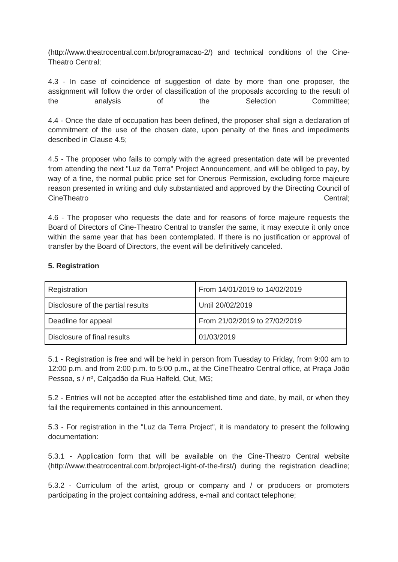(http://www.theatrocentral.com.br/programacao-2/) and technical conditions of the Cine-Theatro Central;

4.3 - In case of coincidence of suggestion of date by more than one proposer, the assignment will follow the order of classification of the proposals according to the result of the analysis of the Selection Committee;

4.4 - Once the date of occupation has been defined, the proposer shall sign a declaration of commitment of the use of the chosen date, upon penalty of the fines and impediments described in Clause 4.5;

4.5 - The proposer who fails to comply with the agreed presentation date will be prevented from attending the next "Luz da Terra" Project Announcement, and will be obliged to pay, by way of a fine, the normal public price set for Onerous Permission, excluding force majeure reason presented in writing and duly substantiated and approved by the Directing Council of CineTheatro Central;

4.6 - The proposer who requests the date and for reasons of force majeure requests the Board of Directors of Cine-Theatro Central to transfer the same, it may execute it only once within the same year that has been contemplated. If there is no justification or approval of transfer by the Board of Directors, the event will be definitively canceled.

#### **5. Registration**

| Registration                      | From 14/01/2019 to 14/02/2019 |
|-----------------------------------|-------------------------------|
| Disclosure of the partial results | Until 20/02/2019              |
| Deadline for appeal               | From 21/02/2019 to 27/02/2019 |
| Disclosure of final results       | 01/03/2019                    |

5.1 - Registration is free and will be held in person from Tuesday to Friday, from 9:00 am to 12:00 p.m. and from 2:00 p.m. to 5:00 p.m., at the CineTheatro Central office, at Praça João Pessoa, s / nº, Calçadão da Rua Halfeld, Out, MG;

5.2 - Entries will not be accepted after the established time and date, by mail, or when they fail the requirements contained in this announcement.

5.3 - For registration in the "Luz da Terra Project", it is mandatory to present the following documentation:

5.3.1 - Application form that will be available on the Cine-Theatro Central website (http://www.theatrocentral.com.br/project-light-of-the-first/) during the registration deadline;

5.3.2 - Curriculum of the artist, group or company and / or producers or promoters participating in the project containing address, e-mail and contact telephone;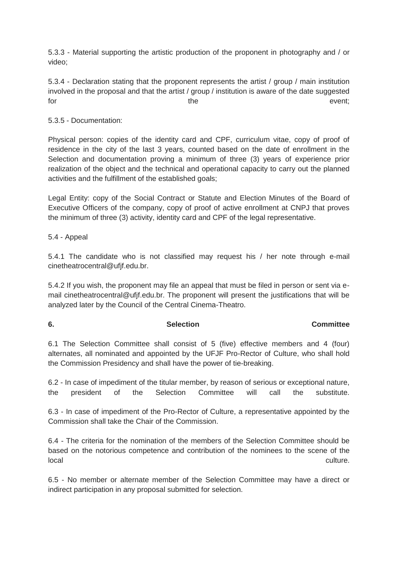5.3.3 - Material supporting the artistic production of the proponent in photography and / or video;

5.3.4 - Declaration stating that the proponent represents the artist / group / main institution involved in the proposal and that the artist / group / institution is aware of the date suggested for the the event;

5.3.5 - Documentation:

Physical person: copies of the identity card and CPF, curriculum vitae, copy of proof of residence in the city of the last 3 years, counted based on the date of enrollment in the Selection and documentation proving a minimum of three (3) years of experience prior realization of the object and the technical and operational capacity to carry out the planned activities and the fulfillment of the established goals;

Legal Entity: copy of the Social Contract or Statute and Election Minutes of the Board of Executive Officers of the company, copy of proof of active enrollment at CNPJ that proves the minimum of three (3) activity, identity card and CPF of the legal representative.

5.4 - Appeal

5.4.1 The candidate who is not classified may request his / her note through e-mail cinetheatrocentral@ufjf.edu.br.

5.4.2 If you wish, the proponent may file an appeal that must be filed in person or sent via email cinetheatrocentral@ufjf.edu.br. The proponent will present the justifications that will be analyzed later by the Council of the Central Cinema-Theatro.

## **6.** Selection **Committee**

6.1 The Selection Committee shall consist of 5 (five) effective members and 4 (four) alternates, all nominated and appointed by the UFJF Pro-Rector of Culture, who shall hold the Commission Presidency and shall have the power of tie-breaking.

6.2 - In case of impediment of the titular member, by reason of serious or exceptional nature, the president of the Selection Committee will call the substitute.

6.3 - In case of impediment of the Pro-Rector of Culture, a representative appointed by the Commission shall take the Chair of the Commission.

6.4 - The criteria for the nomination of the members of the Selection Committee should be based on the notorious competence and contribution of the nominees to the scene of the local culture.

6.5 - No member or alternate member of the Selection Committee may have a direct or indirect participation in any proposal submitted for selection.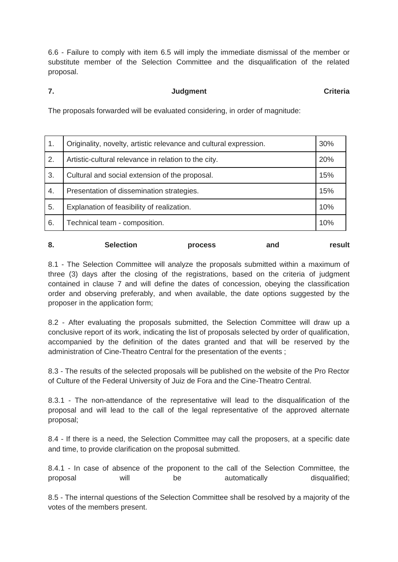6.6 - Failure to comply with item 6.5 will imply the immediate dismissal of the member or substitute member of the Selection Committee and the disqualification of the related proposal.

# **7. Criteria Criteria Judgment Criteria**

The proposals forwarded will be evaluated considering, in order of magnitude:

| $\mathbf 1$ . | Originality, novelty, artistic relevance and cultural expression. | 30% |
|---------------|-------------------------------------------------------------------|-----|
| 2.            | Artistic-cultural relevance in relation to the city.              | 20% |
| 3.            | Cultural and social extension of the proposal.                    | 15% |
| 4.            | Presentation of dissemination strategies.                         | 15% |
| 5.            | Explanation of feasibility of realization.                        | 10% |
| 6.            | Technical team - composition.                                     | 10% |

|  | о. | <b>Selection</b> | <b>process</b> | and | result |
|--|----|------------------|----------------|-----|--------|
|--|----|------------------|----------------|-----|--------|

8.1 - The Selection Committee will analyze the proposals submitted within a maximum of three (3) days after the closing of the registrations, based on the criteria of judgment contained in clause 7 and will define the dates of concession, obeying the classification order and observing preferably, and when available, the date options suggested by the proposer in the application form;

8.2 - After evaluating the proposals submitted, the Selection Committee will draw up a conclusive report of its work, indicating the list of proposals selected by order of qualification, accompanied by the definition of the dates granted and that will be reserved by the administration of Cine-Theatro Central for the presentation of the events ;

8.3 - The results of the selected proposals will be published on the website of the Pro Rector of Culture of the Federal University of Juiz de Fora and the Cine-Theatro Central.

8.3.1 - The non-attendance of the representative will lead to the disqualification of the proposal and will lead to the call of the legal representative of the approved alternate proposal;

8.4 - If there is a need, the Selection Committee may call the proposers, at a specific date and time, to provide clarification on the proposal submitted.

8.4.1 - In case of absence of the proponent to the call of the Selection Committee, the proposal will be automatically disqualified;

8.5 - The internal questions of the Selection Committee shall be resolved by a majority of the votes of the members present.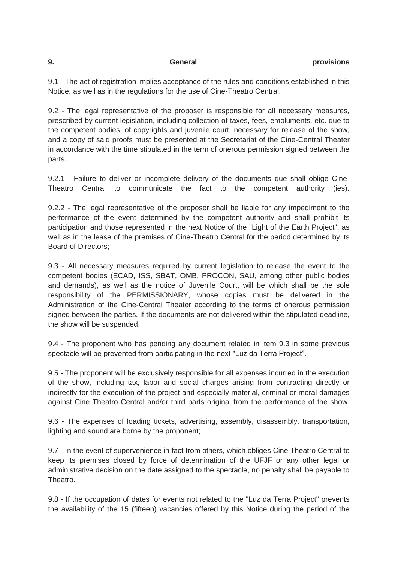9.1 - The act of registration implies acceptance of the rules and conditions established in this Notice, as well as in the regulations for the use of Cine-Theatro Central.

9.2 - The legal representative of the proposer is responsible for all necessary measures, prescribed by current legislation, including collection of taxes, fees, emoluments, etc. due to the competent bodies, of copyrights and juvenile court, necessary for release of the show, and a copy of said proofs must be presented at the Secretariat of the Cine-Central Theater in accordance with the time stipulated in the term of onerous permission signed between the parts.

9.2.1 - Failure to deliver or incomplete delivery of the documents due shall oblige Cine-Theatro Central to communicate the fact to the competent authority (ies).

9.2.2 - The legal representative of the proposer shall be liable for any impediment to the performance of the event determined by the competent authority and shall prohibit its participation and those represented in the next Notice of the "Light of the Earth Project", as well as in the lease of the premises of Cine-Theatro Central for the period determined by its Board of Directors;

9.3 - All necessary measures required by current legislation to release the event to the competent bodies (ECAD, ISS, SBAT, OMB, PROCON, SAU, among other public bodies and demands), as well as the notice of Juvenile Court, will be which shall be the sole responsibility of the PERMISSIONARY, whose copies must be delivered in the Administration of the Cine-Central Theater according to the terms of onerous permission signed between the parties. If the documents are not delivered within the stipulated deadline, the show will be suspended.

9.4 - The proponent who has pending any document related in item 9.3 in some previous spectacle will be prevented from participating in the next "Luz da Terra Project".

9.5 - The proponent will be exclusively responsible for all expenses incurred in the execution of the show, including tax, labor and social charges arising from contracting directly or indirectly for the execution of the project and especially material, criminal or moral damages against Cine Theatro Central and/or third parts original from the performance of the show.

9.6 - The expenses of loading tickets, advertising, assembly, disassembly, transportation, lighting and sound are borne by the proponent;

9.7 - In the event of supervenience in fact from others, which obliges Cine Theatro Central to keep its premises closed by force of determination of the UFJF or any other legal or administrative decision on the date assigned to the spectacle, no penalty shall be payable to Theatro.

9.8 - If the occupation of dates for events not related to the "Luz da Terra Project" prevents the availability of the 15 (fifteen) vacancies offered by this Notice during the period of the